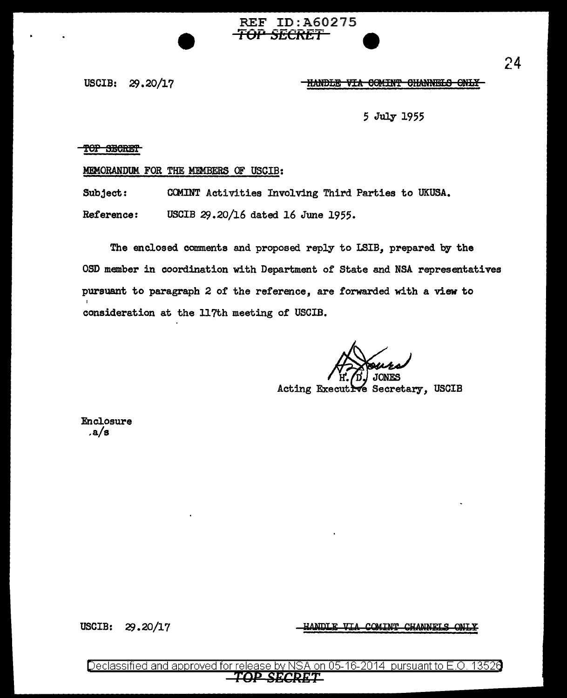REF ID:A60275 *TOP SECRET* 

USCIB: 29.20/17 THANDLE VIA COMINT CHANNELS ONLY

5 July 195.5

### TOP SECRET

### MEMORANDUM FOR THE MEMBERS OF USCIB:

Subject: CCMINT Activities Involving Third Parties to UKUSA.

Reference: USCIB 29.20/16 dated 16 June 1955.

The enclosed comments and proposed reply to LSIB, prepared by the OSD member in coordination with Department of State and NSA representatives pursuant to paragraph 2 of the reference, are forwarded with a view to consideration at the ll7th meeting of USCIB.

**TONES** 

Acting Executive Secretary, USCIB

Enclosure .a/s

USCIB: 29.20/17

COMINT CHANNELS

Declassified and approved for release by NSA on 05-16-2014 pursuant to E.O. 13526 TOP SECRET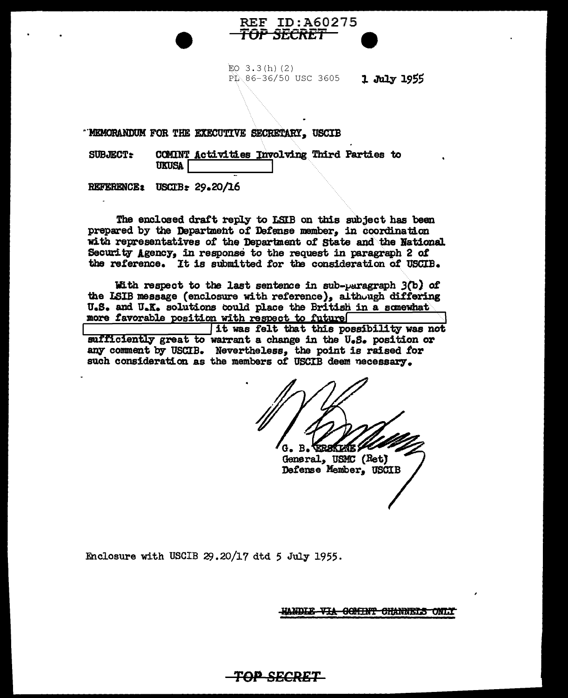#### **REF ID:A60275**  $\mathbf{d} \mathbf{r}$ SECKET

 $EO$  3.3(h)(2)  $\overrightarrow{PL}$  86-36/50 USC 3605 1 July 1955

"NEMORANDUM FOR THE EXECUTIVE SECRETARY, USCIB

COMINT Activities Involving Third Parties to **SUBJECT: UKUSA** 

REFERENCE: USCIB: 29.20/16

The enclosed draft reply to LSIB on this subject has been prepared by the Department of Defense member, in coordination with representatives of the Department of State and the National Security Agency, in response to the request in paragraph 2 of the reference. It is submitted for the consideration of USCIB.

With respect to the last sentence in sub-paragraph  $3(b)$  of the LSIB message (enclosure with reference), although differing U.S. and U.K. solutions could place the British in a somewhat more favorable position with respect to future

it was felt that this possibility was not sufficiently great to warrant a change in the U.S. position or any comment by USCIB. Nevertheless, the point is raised for such consideration as the members of USCIB deem necessary.

TOP SECRET

**B. TERSKIKTE 2** G.

General, USMC (Ret) Defense Member, USCIB

Enclosure with USCIB 29.20/17 dtd 5 July 1955.

HANDLE VIA GOMINT CHANNELS ONLY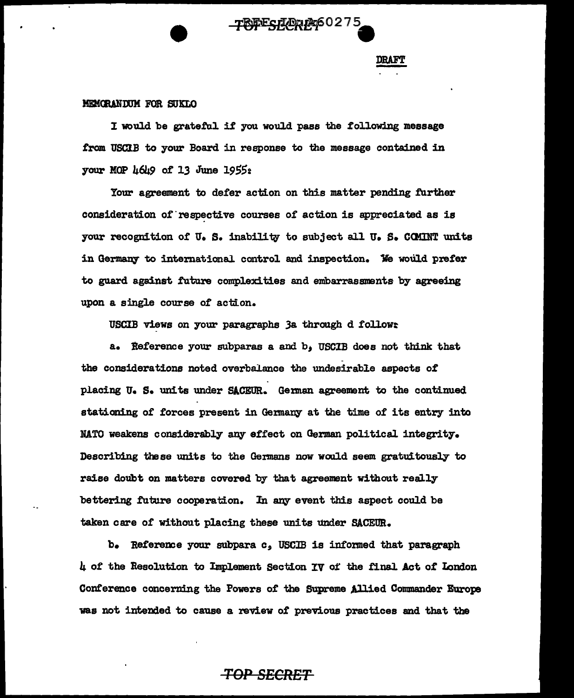# **TOPESECRET**60275

### MEMORANDUM FOR SUKLO

I would be grateful if you would pass the following message from USCJ.B to your Board in response to the message contained in your MOP  $\mu$ 6 $\mu$ 9 of 13 June 1955 $\alpha$ 

Your agreement to defer action on this matter pending further consideration of respective courses of action is appreciated as is your recognition of U.S. inability to subject all U.S. COMINT units in Germany to international control and inspection. We would prefer to guard against future complexities and embarrassments by agreeing upon a single course of action.

USCIB views on your paragraphs 3a through d follow:

a. Reference your subparas a and b; USCIB does not think that the considerations noted overbalance the undesirable aspects of placing U. S. units under SACEUR. German agreement to the continued stationing of forces present in Germany at the time of its entry into NATO weakens considerably any effect on German political integrity. Describing these units to the Germans now would seem gratuitously to raise doubt on matters covered by that agreement without really bettering future cooperation. In any event this aspect could be taken care 0£ without placing these units under SACEUB..

b. Reference your subpara *c,* USCJB is informed that paragraph 4 of the Resolution to Implement Section IV of the final Act of London Conference concerning the Powers of the Supreme Allied Commander Europe was not intended to cause a review of previous practices and that the

## *TOP SECRET*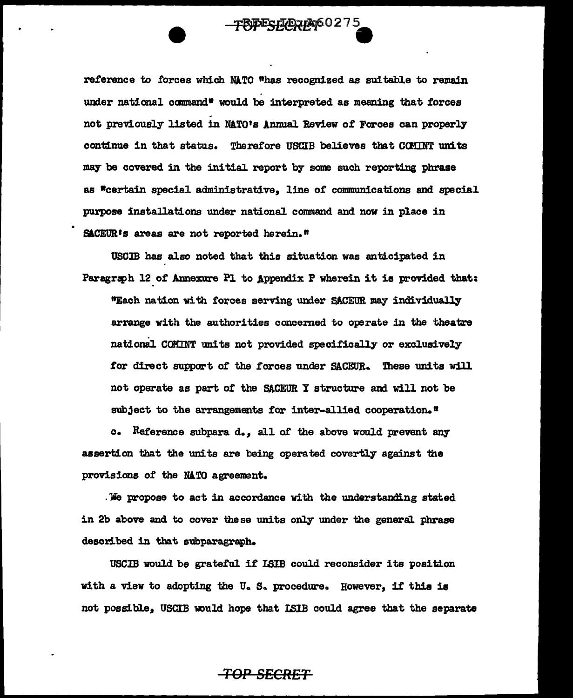reference to £orces which NATO "has recognized as suitable to remain under national command<sup>®</sup> would be interpreted as meaning that forces not previously listed in NATO's Annual Review of Forces can properly continue in that status. Therefore USCIB believes that COMINT units may be covered in the initial report by some such reporting phrase as \*certain special administrative. line of communications and special purpose installations under national command and now in place in SACEUR's areas are not reported herein."

**TOPESECRE960275** 

USOJB has also noted that this situation was anticipated in Paragraph 12 of Annexure Pl to Appendix P wherein it is provided that: "Each nation with forces serving under SACEUR may individually arrange with the authorities concerned to operate in the theatre national COMINT units not provided specifically or exclusively for direct support of the forces under SACEUR. These units will not operate as part of the SACEUR Y structure and will not be subject to the arrangements for inter-allied cooperation."

c. Reference subpara  $d_{\bullet}$ , all of the above would prevent any assertion that the units are being operated covertly against the provisions of the NATO agreement.

. 'lie propose to act in accordance with the understanding stated in 2b above and to cover these units only under the general. phrase described in that subparagraph.

USCIB would be grateful if ISIB could reconsider its position with a view to adopting the U.S. procedure. However, if this is not possible, USCIB would hope that LSIB could agree that the separate

### *TOP SECRET*